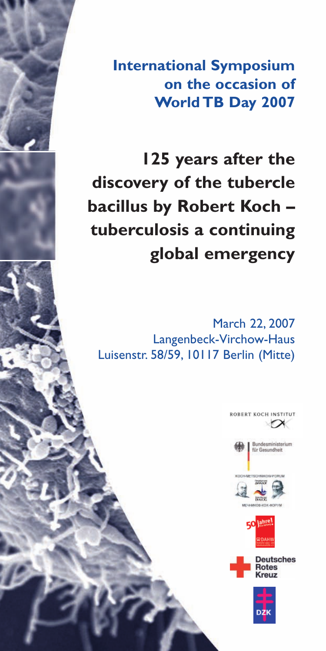**International Symposium on the occasion of World TB Day 2007**

**125 years after the discovery of the tubercle bacillus by Robert Koch – tuberculosis a continuing global emergency**

March 22, 2007 Langenbeck-Virchow-Haus Luisenstr. 58/59, 10117 Berlin (Mitte)

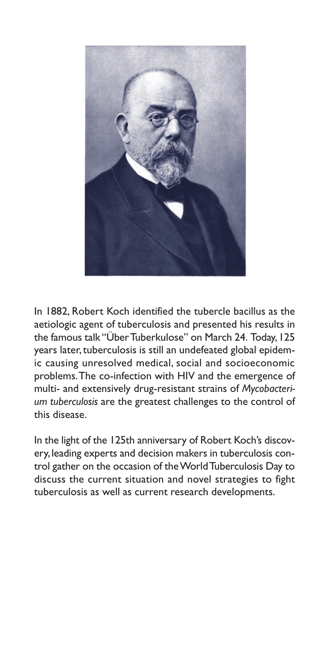

In 1882, Robert Koch identified the tubercle bacillus as the aetiologic agent of tuberculosis and presented his results in the famous talk "Über Tuberkulose" on March 24. Today,125 years later, tuberculosis is still an undefeated global epidemic causing unresolved medical, social and socioeconomic problems.The co-infection with HIV and the emergence of multi- and extensively drug-resistant strains of *Mycobacterium tuberculosis* are the greatest challenges to the control of this disease.

In the light of the 125th anniversary of Robert Koch's discovery,leading experts and decision makers in tuberculosis control gather on the occasion of the World Tuberculosis Day to discuss the current situation and novel strategies to fight tuberculosis as well as current research developments.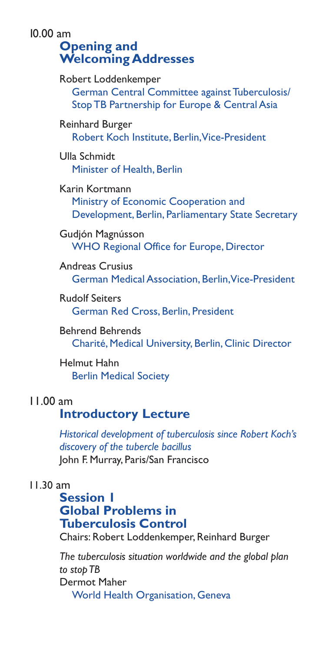10.00 am **Opening and Welcoming Addresses**

> Robert Loddenkemper German Central Committee against Tuberculosis/ Stop TB Partnership for Europe & Central Asia

Reinhard Burger Robert Koch Institute, Berlin,Vice-President

Ulla Schmidt Minister of Health, Berlin

Karin Kortmann Ministry of Economic Cooperation and Development, Berlin, Parliamentary State Secretary

Gudjón Magnússon WHO Regional Office for Europe, Director

Andreas Crusius German Medical Association, Berlin,Vice-President

Rudolf Seiters German Red Cross, Berlin, President

Behrend Behrends Charité, Medical University, Berlin, Clinic Director

Helmut Hahn Berlin Medical Society

### 11.00 am

## **Introductory Lecture**

*Historical development of tuberculosis since Robert Koch's discovery of the tubercle bacillus*  John F. Murray, Paris/San Francisco

### 11.30 am

## **Session 1 Global Problems in Tuberculosis Control**

Chairs: Robert Loddenkemper, Reinhard Burger

*The tuberculosis situation worldwide and the global plan to stop TB*  Dermot Maher World Health Organisation, Geneva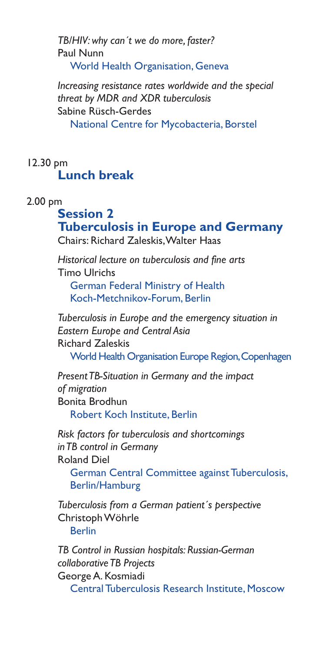*TB/HIV: why can´t we do more, faster?*  Paul Nunn World Health Organisation, Geneva

*Increasing resistance rates worldwide and the special threat by MDR and XDR tuberculosis*  Sabine Rüsch-Gerdes National Centre for Mycobacteria, Borstel

## 12.30 pm **Lunch break**

### 2.00 pm

# **Session 2 Tuberculosis in Europe and Germany**

Chairs: Richard Zaleskis,Walter Haas

*Historical lecture on tuberculosis and fine arts*  Timo Ulrichs German Federal Ministry of Health Koch-Metchnikov-Forum, Berlin

*Tuberculosis in Europe and the emergency situation in Eastern Europe and Central Asia*  Richard Zaleskis World Health Organisation Europe Region,Copenhagen

*Present TB-Situation in Germany and the impact of migration*  Bonita Brodhun Robert Koch Institute, Berlin

*Risk factors for tuberculosis and shortcomings in TB control in Germany*  Roland Diel German Central Committee against Tuberculosis,

Berlin/Hamburg

*Tuberculosis from a German patient´s perspective* Christoph Wöhrle Berlin

*TB Control in Russian hospitals: Russian-German collaborative TB Projects* George A. Kosmiadi

Central Tuberculosis Research Institute, Moscow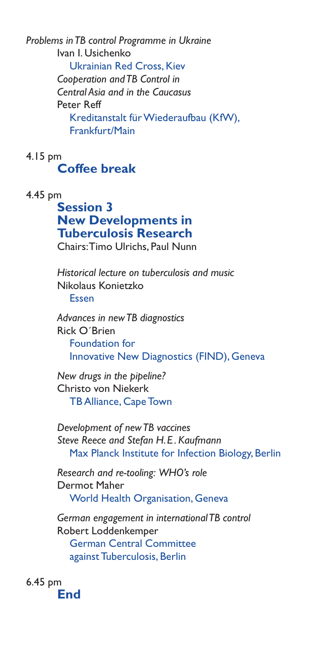*Problems in TB control Programme in Ukraine*  Ivan I. Usichenko Ukrainian Red Cross, Kiev *Cooperation and TB Control in Central Asia and in the Caucasus*  Peter Reff Kreditanstalt für Wiederaufbau (KfW), Frankfurt/Main

4.15 pm **Coffee break** 

4.45 pm

### **Session 3 New Developments in Tuberculosis Research** Chairs:Timo Ulrichs, Paul Nunn

*Historical lecture on tuberculosis and music*  Nikolaus Konietzko Essen

*Advances in new TB diagnostics*  Rick O´Brien Foundation for Innovative New Diagnostics (FIND), Geneva

*New drugs in the pipeline?* Christo von Niekerk TB Alliance, Cape Town

*Development of new TB vaccines Steve Reece and Stefan H.E . Kaufmann* Max Planck Institute for Infection Biology, Berlin

*Research and re-tooling: WHO's role* Dermot Maher World Health Organisation, Geneva

*German engagement in international TB control*  Robert Loddenkemper German Central Committee against Tuberculosis, Berlin

6.45 pm **End**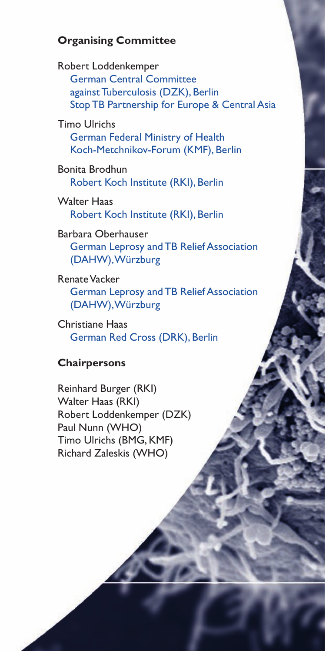### **Organising Committee**

Robert Loddenkemper German Central Committee against Tuberculosis (DZK), Berlin Stop TB Partnership for Europe & Central Asia

Timo Ulrichs German Federal Ministry of Health Koch-Metchnikov-Forum (KMF), Berlin

Bonita Brodhun Robert Koch Institute (RKI), Berlin

Walter Haas Robert Koch Institute (RKI), Berlin

Barbara Oberhauser German Leprosy and TB Relief Association (DAHW),Würzburg

Renate Vacker German Leprosy and TB Relief Association (DAHW),Würzburg

Christiane Haas German Red Cross (DRK), Berlin

### **Chairpersons**

Reinhard Burger (RKI) Walter Haas (RKI) Robert Loddenkemper (DZK) Paul Nunn (WHO) Timo Ulrichs (BMG, KMF) Richard Zaleskis (WHO)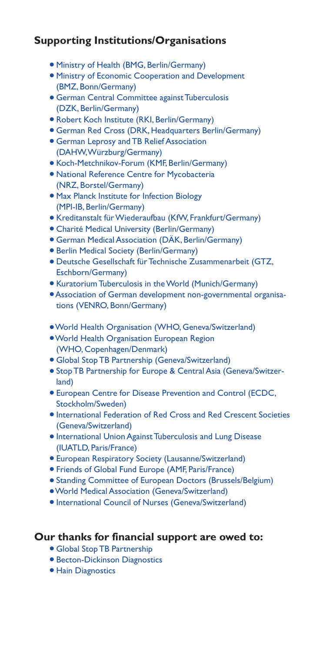### **Supporting Institutions/Organisations**

- Ministry of Health (BMG, Berlin/Germany)
- Ministry of Economic Cooperation and Development (BMZ, Bonn/Germany)
- German Central Committee against Tuberculosis (DZK, Berlin/Germany)
- Robert Koch Institute (RKI, Berlin/Germany)
- German Red Cross (DRK, Headquarters Berlin/Germany)
- German Leprosy and TB Relief Association (DAHW,Würzburg/Germany)
- Koch-Metchnikov-Forum (KMF, Berlin/Germany)
- National Reference Centre for Mycobacteria (NRZ, Borstel/Germany)
- Max Planck Institute for Infection Biology (MPI-IB, Berlin/Germany)
- Kreditanstalt für Wiederaufbau (KfW, Frankfurt/Germany)
- Charité Medical University (Berlin/Germany)
- German Medical Association (DÄK, Berlin/Germany)
- Berlin Medical Society (Berlin/Germany)
- Deutsche Gesellschaft für Technische Zusammenarbeit (GTZ, Eschborn/Germany)
- Kuratorium Tuberculosis in the World (Munich/Germany)
- Association of German development non-governmental organisations (VENRO, Bonn/Germany)
- ●World Health Organisation (WHO, Geneva/Switzerland)
- ●World Health Organisation European Region (WHO, Copenhagen/Denmark)
- Global Stop TB Partnership (Geneva/Switzerland)
- Stop TB Partnership for Europe & Central Asia (Geneva/Switzerland)
- European Centre for Disease Prevention and Control (ECDC, Stockholm/Sweden)
- International Federation of Red Cross and Red Crescent Societies (Geneva/Switzerland)
- International Union Against Tuberculosis and Lung Disease (IUATLD, Paris/France)
- European Respiratory Society (Lausanne/Switzerland)
- Friends of Global Fund Europe (AMF, Paris/France)
- Standing Committee of European Doctors (Brussels/Belgium)
- ●World Medical Association (Geneva/Switzerland)
- International Council of Nurses (Geneva/Switzerland)

#### **Our thanks for financial support are owed to:**

- Global Stop TB Partnership
- Becton-Dickinson Diagnostics
- Hain Diagnostics